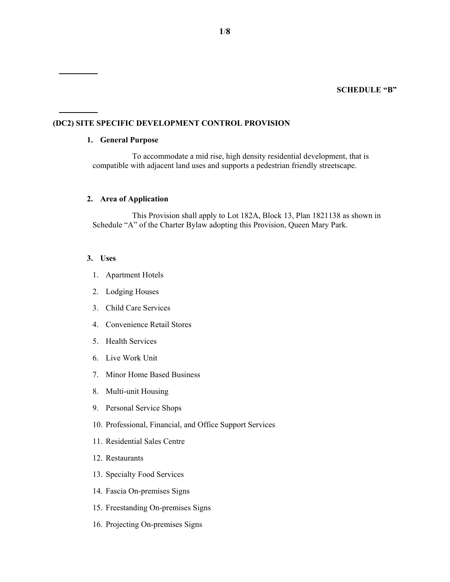# **(DC2) SITE SPECIFIC DEVELOPMENT CONTROL PROVISION**

#### **1. General Purpose**

To accommodate a mid rise, high density residential development, that is compatible with adjacent land uses and supports a pedestrian friendly streetscape.

# **2. Area of Application**

This Provision shall apply to Lot 182A, Block 13, Plan 1821138 as shown in Schedule "A" of the Charter Bylaw adopting this Provision, Queen Mary Park.

#### **3. Uses**

- 1. Apartment Hotels
- 2. Lodging Houses
- 3. Child Care Services
- 4. Convenience Retail Stores
- 5. Health Services
- 6. Live Work Unit
- 7. Minor Home Based Business
- 8. Multi-unit Housing
- 9. Personal Service Shops
- 10. Professional, Financial, and Office Support Services
- 11. Residential Sales Centre
- 12. Restaurants
- 13. Specialty Food Services
- 14. Fascia On-premises Signs
- 15. Freestanding On-premises Signs
- 16. Projecting On-premises Signs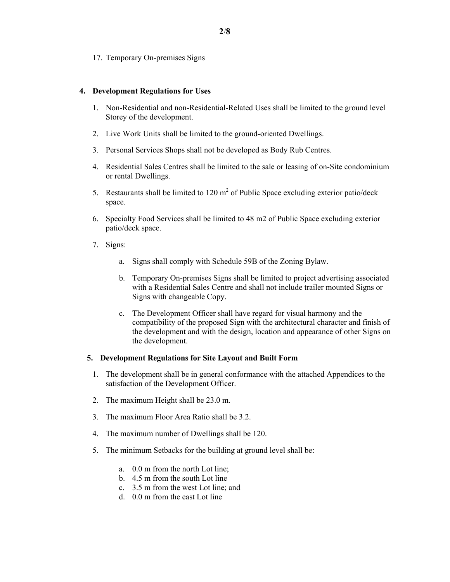17. Temporary On-premises Signs

# **4. Development Regulations for Uses**

- 1. Non-Residential and non-Residential-Related Uses shall be limited to the ground level Storey of the development.
- 2. Live Work Units shall be limited to the ground-oriented Dwellings.
- 3. Personal Services Shops shall not be developed as Body Rub Centres.
- 4. Residential Sales Centres shall be limited to the sale or leasing of on-Site condominium or rental Dwellings.
- 5. Restaurants shall be limited to  $120 \text{ m}^2$  of Public Space excluding exterior patio/deck space.
- 6. Specialty Food Services shall be limited to 48 m2 of Public Space excluding exterior patio/deck space.
- 7. Signs:
	- a. Signs shall comply with Schedule 59B of the Zoning Bylaw.
	- b. Temporary On-premises Signs shall be limited to project advertising associated with a Residential Sales Centre and shall not include trailer mounted Signs or Signs with changeable Copy.
	- c. The Development Officer shall have regard for visual harmony and the compatibility of the proposed Sign with the architectural character and finish of the development and with the design, location and appearance of other Signs on the development.

## **5. Development Regulations for Site Layout and Built Form**

- 1. The development shall be in general conformance with the attached Appendices to the satisfaction of the Development Officer.
- 2. The maximum Height shall be 23.0 m.
- 3. The maximum Floor Area Ratio shall be 3.2.
- 4. The maximum number of Dwellings shall be 120.
- 5. The minimum Setbacks for the building at ground level shall be:
	- a. 0.0 m from the north Lot line;
	- b. 4.5 m from the south Lot line
	- c. 3.5 m from the west Lot line; and
	- d. 0.0 m from the east Lot line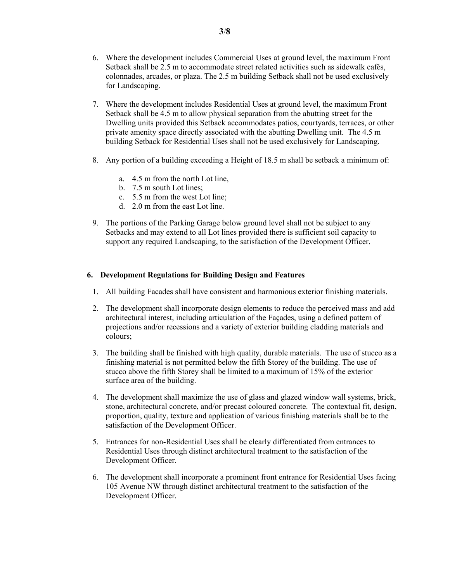- 6. Where the development includes Commercial Uses at ground level, the maximum Front Setback shall be 2.5 m to accommodate street related activities such as sidewalk cafés, colonnades, arcades, or plaza. The 2.5 m building Setback shall not be used exclusively for Landscaping.
- 7. Where the development includes Residential Uses at ground level, the maximum Front Setback shall be 4.5 m to allow physical separation from the abutting street for the Dwelling units provided this Setback accommodates patios, courtyards, terraces, or other private amenity space directly associated with the abutting Dwelling unit. The 4.5 m building Setback for Residential Uses shall not be used exclusively for Landscaping.
- 8. Any portion of a building exceeding a Height of 18.5 m shall be setback a minimum of:
	- a. 4.5 m from the north Lot line,
	- b. 7.5 m south Lot lines;
	- c. 5.5 m from the west Lot line;
	- d. 2.0 m from the east Lot line.
- 9. The portions of the Parking Garage below ground level shall not be subject to any Setbacks and may extend to all Lot lines provided there is sufficient soil capacity to support any required Landscaping, to the satisfaction of the Development Officer.

## **6. Development Regulations for Building Design and Features**

- 1. All building Facades shall have consistent and harmonious exterior finishing materials.
- 2. The development shall incorporate design elements to reduce the perceived mass and add architectural interest, including articulation of the Façades, using a defined pattern of projections and/or recessions and a variety of exterior building cladding materials and colours;
- 3. The building shall be finished with high quality, durable materials. The use of stucco as a finishing material is not permitted below the fifth Storey of the building. The use of stucco above the fifth Storey shall be limited to a maximum of 15% of the exterior surface area of the building.
- 4. The development shall maximize the use of glass and glazed window wall systems, brick, stone, architectural concrete, and/or precast coloured concrete. The contextual fit, design, proportion, quality, texture and application of various finishing materials shall be to the satisfaction of the Development Officer.
- 5. Entrances for non-Residential Uses shall be clearly differentiated from entrances to Residential Uses through distinct architectural treatment to the satisfaction of the Development Officer.
- 6. The development shall incorporate a prominent front entrance for Residential Uses facing 105 Avenue NW through distinct architectural treatment to the satisfaction of the Development Officer.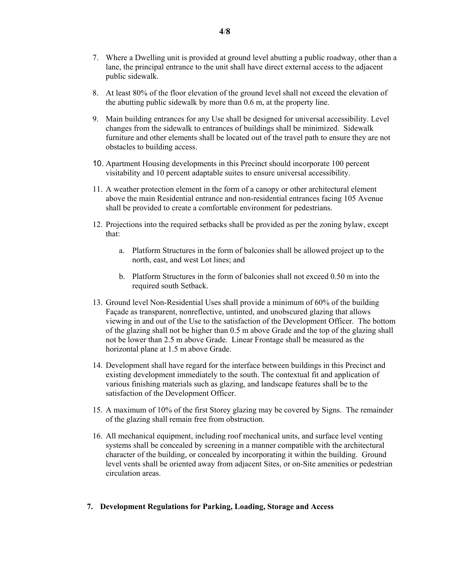- 7. Where a Dwelling unit is provided at ground level abutting a public roadway, other than a lane, the principal entrance to the unit shall have direct external access to the adjacent public sidewalk.
- 8. At least 80% of the floor elevation of the ground level shall not exceed the elevation of the abutting public sidewalk by more than 0.6 m, at the property line.
- 9. Main building entrances for any Use shall be designed for universal accessibility. Level changes from the sidewalk to entrances of buildings shall be minimized. Sidewalk furniture and other elements shall be located out of the travel path to ensure they are not obstacles to building access.
- 10. Apartment Housing developments in this Precinct should incorporate 100 percent visitability and 10 percent adaptable suites to ensure universal accessibility.
- 11. A weather protection element in the form of a canopy or other architectural element above the main Residential entrance and non-residential entrances facing 105 Avenue shall be provided to create a comfortable environment for pedestrians.
- 12. Projections into the required setbacks shall be provided as per the zoning bylaw, except that:
	- a. Platform Structures in the form of balconies shall be allowed project up to the north, east, and west Lot lines; and
	- b. Platform Structures in the form of balconies shall not exceed 0.50 m into the required south Setback.
- 13. Ground level Non-Residential Uses shall provide a minimum of 60% of the building Façade as transparent, nonreflective, untinted, and unobscured glazing that allows viewing in and out of the Use to the satisfaction of the Development Officer. The bottom of the glazing shall not be higher than 0.5 m above Grade and the top of the glazing shall not be lower than 2.5 m above Grade. Linear Frontage shall be measured as the horizontal plane at 1.5 m above Grade.
- 14. Development shall have regard for the interface between buildings in this Precinct and existing development immediately to the south. The contextual fit and application of various finishing materials such as glazing, and landscape features shall be to the satisfaction of the Development Officer.
- 15. A maximum of 10% of the first Storey glazing may be covered by Signs. The remainder of the glazing shall remain free from obstruction.
- 16. All mechanical equipment, including roof mechanical units, and surface level venting systems shall be concealed by screening in a manner compatible with the architectural character of the building, or concealed by incorporating it within the building. Ground level vents shall be oriented away from adjacent Sites, or on-Site amenities or pedestrian circulation areas.

## **7. Development Regulations for Parking, Loading, Storage and Access**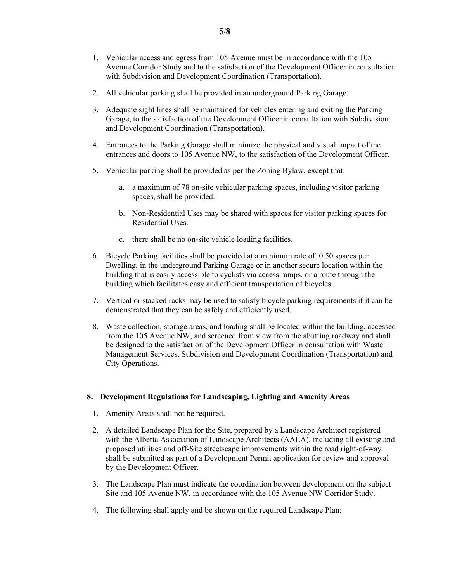- 1. Vehicular access and egress from 105 Avenue must be in accordance with the 105 Avenue Corridor Study and to the satisfaction of the Development Officer in consultation with Subdivision and Development Coordination (Transportation).
- 2. All vehicular parking shall be provided in an underground Parking Garage.
- 3. Adequate sight lines shall be maintained for vehicles entering and exiting the Parking Garage, to the satisfaction of the Development Officer in consultation with Subdivision and Development Coordination (Transportation).
- 4. Entrances to the Parking Garage shall minimize the physical and visual impact of the entrances and doors to 105 Avenue NW, to the satisfaction of the Development Officer.
- 5. Vehicular parking shall be provided as per the Zoning Bylaw, except that:
	- a. a maximum of 78 on-site vehicular parking spaces, including visitor parking spaces, shall be provided.
	- b. Non-Residential Uses may be shared with spaces for visitor parking spaces for Residential Uses.
	- c. there shall be no on-site vehicle loading facilities.
- 6. Bicycle Parking facilities shall be provided at a minimum rate of 0.50 spaces per Dwelling, in the underground Parking Garage or in another secure location within the building that is easily accessible to cyclists via access ramps, or a route through the building which facilitates easy and efficient transportation of bicycles.
- 7. Vertical or stacked racks may be used to satisfy bicycle parking requirements if it can be demonstrated that they can be safely and efficiently used.
- 8. Waste collection, storage areas, and loading shall be located within the building, accessed from the 105 Avenue NW, and screened from view from the abutting roadway and shall be designed to the satisfaction of the Development Officer in consultation with Waste Management Services, Subdivision and Development Coordination (Transportation) and City Operations.

# **8. Development Regulations for Landscaping, Lighting and Amenity Areas**

- 1. Amenity Areas shall not be required.
- 2. A detailed Landscape Plan for the Site, prepared by a Landscape Architect registered with the Alberta Association of Landscape Architects (AALA), including all existing and proposed utilities and off-Site streetscape improvements within the road right-of-way shall be submitted as part of a Development Permit application for review and approval by the Development Officer.
- 3. The Landscape Plan must indicate the coordination between development on the subject Site and 105 Avenue NW, in accordance with the 105 Avenue NW Corridor Study.
- 4. The following shall apply and be shown on the required Landscape Plan: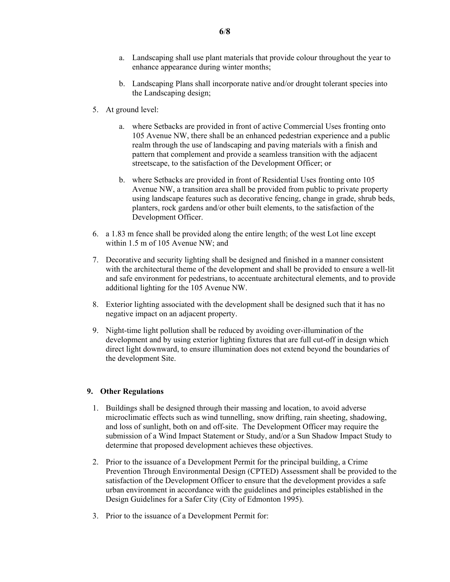- a. Landscaping shall use plant materials that provide colour throughout the year to enhance appearance during winter months;
- b. Landscaping Plans shall incorporate native and/or drought tolerant species into the Landscaping design;
- 5. At ground level:
	- a. where Setbacks are provided in front of active Commercial Uses fronting onto 105 Avenue NW, there shall be an enhanced pedestrian experience and a public realm through the use of landscaping and paving materials with a finish and pattern that complement and provide a seamless transition with the adjacent streetscape, to the satisfaction of the Development Officer; or
	- b. where Setbacks are provided in front of Residential Uses fronting onto 105 Avenue NW, a transition area shall be provided from public to private property using landscape features such as decorative fencing, change in grade, shrub beds, planters, rock gardens and/or other built elements, to the satisfaction of the Development Officer.
- 6. a 1.83 m fence shall be provided along the entire length; of the west Lot line except within 1.5 m of 105 Avenue NW; and
- 7. Decorative and security lighting shall be designed and finished in a manner consistent with the architectural theme of the development and shall be provided to ensure a well-lit and safe environment for pedestrians, to accentuate architectural elements, and to provide additional lighting for the 105 Avenue NW.
- 8. Exterior lighting associated with the development shall be designed such that it has no negative impact on an adjacent property.
- 9. Night-time light pollution shall be reduced by avoiding over-illumination of the development and by using exterior lighting fixtures that are full cut-off in design which direct light downward, to ensure illumination does not extend beyond the boundaries of the development Site.

## **9. Other Regulations**

- 1. Buildings shall be designed through their massing and location, to avoid adverse microclimatic effects such as wind tunnelling, snow drifting, rain sheeting, shadowing, and loss of sunlight, both on and off-site. The Development Officer may require the submission of a Wind Impact Statement or Study, and/or a Sun Shadow Impact Study to determine that proposed development achieves these objectives.
- 2. Prior to the issuance of a Development Permit for the principal building, a Crime Prevention Through Environmental Design (CPTED) Assessment shall be provided to the satisfaction of the Development Officer to ensure that the development provides a safe urban environment in accordance with the guidelines and principles established in the Design Guidelines for a Safer City (City of Edmonton 1995).
- 3. Prior to the issuance of a Development Permit for: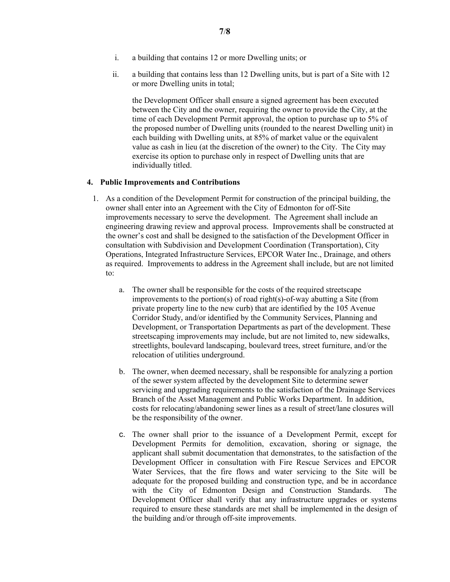- i. a building that contains 12 or more Dwelling units; or
- ii. a building that contains less than 12 Dwelling units, but is part of a Site with 12 or more Dwelling units in total;

the Development Officer shall ensure a signed agreement has been executed between the City and the owner, requiring the owner to provide the City, at the time of each Development Permit approval, the option to purchase up to 5% of the proposed number of Dwelling units (rounded to the nearest Dwelling unit) in each building with Dwelling units, at 85% of market value or the equivalent value as cash in lieu (at the discretion of the owner) to the City. The City may exercise its option to purchase only in respect of Dwelling units that are individually titled.

## **4. Public Improvements and Contributions**

- 1. As a condition of the Development Permit for construction of the principal building, the owner shall enter into an Agreement with the City of Edmonton for off-Site improvements necessary to serve the development. The Agreement shall include an engineering drawing review and approval process. Improvements shall be constructed at the owner's cost and shall be designed to the satisfaction of the Development Officer in consultation with Subdivision and Development Coordination (Transportation), City Operations, Integrated Infrastructure Services, EPCOR Water Inc., Drainage, and others as required. Improvements to address in the Agreement shall include, but are not limited to:
	- a. The owner shall be responsible for the costs of the required streetscape improvements to the portion(s) of road right(s)-of-way abutting a Site (from private property line to the new curb) that are identified by the 105 Avenue Corridor Study, and/or identified by the Community Services, Planning and Development, or Transportation Departments as part of the development. These streetscaping improvements may include, but are not limited to, new sidewalks, streetlights, boulevard landscaping, boulevard trees, street furniture, and/or the relocation of utilities underground.
	- b. The owner, when deemed necessary, shall be responsible for analyzing a portion of the sewer system affected by the development Site to determine sewer servicing and upgrading requirements to the satisfaction of the Drainage Services Branch of the Asset Management and Public Works Department. In addition, costs for relocating/abandoning sewer lines as a result of street/lane closures will be the responsibility of the owner.
	- c. The owner shall prior to the issuance of a Development Permit, except for Development Permits for demolition, excavation, shoring or signage, the applicant shall submit documentation that demonstrates, to the satisfaction of the Development Officer in consultation with Fire Rescue Services and EPCOR Water Services, that the fire flows and water servicing to the Site will be adequate for the proposed building and construction type, and be in accordance with the City of Edmonton Design and Construction Standards. The Development Officer shall verify that any infrastructure upgrades or systems required to ensure these standards are met shall be implemented in the design of the building and/or through off-site improvements.